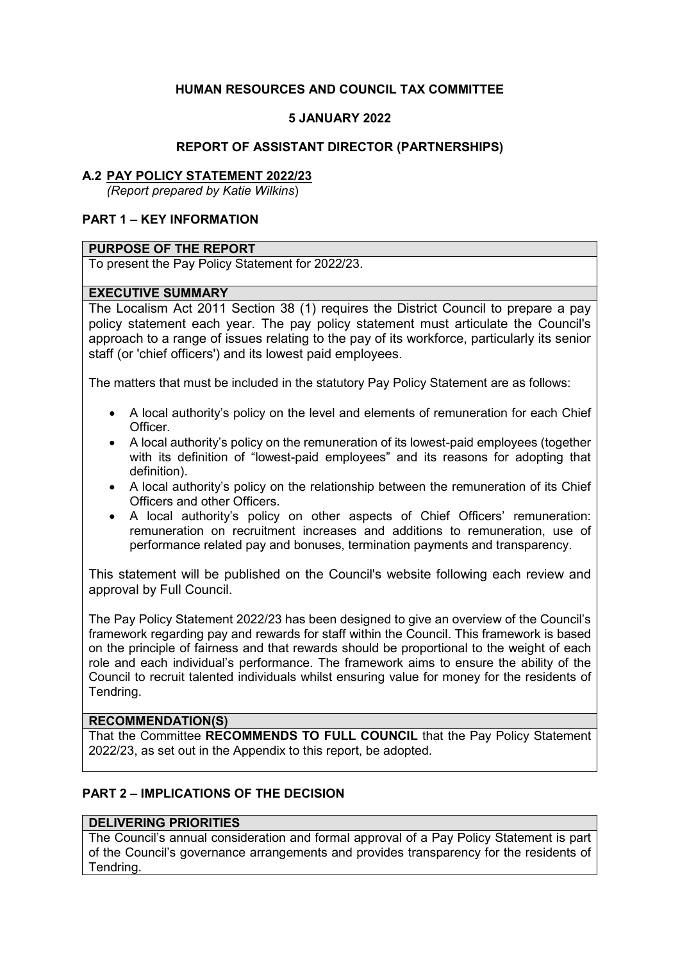# **HUMAN RESOURCES AND COUNCIL TAX COMMITTEE**

### **5 JANUARY 2022**

#### **REPORT OF ASSISTANT DIRECTOR (PARTNERSHIPS)**

#### **A.2 PAY POLICY STATEMENT 2022/23**

*(Report prepared by Katie Wilkins*)

### **PART 1 – KEY INFORMATION**

#### **PURPOSE OF THE REPORT**

To present the Pay Policy Statement for 2022/23.

#### **EXECUTIVE SUMMARY**

The Localism Act 2011 Section 38 (1) requires the District Council to prepare a pay policy statement each year. The pay policy statement must articulate the Council's approach to a range of issues relating to the pay of its workforce, particularly its senior staff (or 'chief officers') and its lowest paid employees.

The matters that must be included in the statutory Pay Policy Statement are as follows:

- A local authority's policy on the level and elements of remuneration for each Chief Officer.
- A local authority's policy on the remuneration of its lowest-paid employees (together with its definition of "lowest-paid employees" and its reasons for adopting that definition).
- A local authority's policy on the relationship between the remuneration of its Chief Officers and other Officers.
- A local authority's policy on other aspects of Chief Officers' remuneration: remuneration on recruitment increases and additions to remuneration, use of performance related pay and bonuses, termination payments and transparency.

This statement will be published on the Council's website following each review and approval by Full Council.

The Pay Policy Statement 2022/23 has been designed to give an overview of the Council's framework regarding pay and rewards for staff within the Council. This framework is based on the principle of fairness and that rewards should be proportional to the weight of each role and each individual's performance. The framework aims to ensure the ability of the Council to recruit talented individuals whilst ensuring value for money for the residents of Tendring.

#### **RECOMMENDATION(S)**

That the Committee **RECOMMENDS TO FULL COUNCIL** that the Pay Policy Statement 2022/23, as set out in the Appendix to this report, be adopted.

## **PART 2 – IMPLICATIONS OF THE DECISION**

### **DELIVERING PRIORITIES**

The Council's annual consideration and formal approval of a Pay Policy Statement is part of the Council's governance arrangements and provides transparency for the residents of Tendring.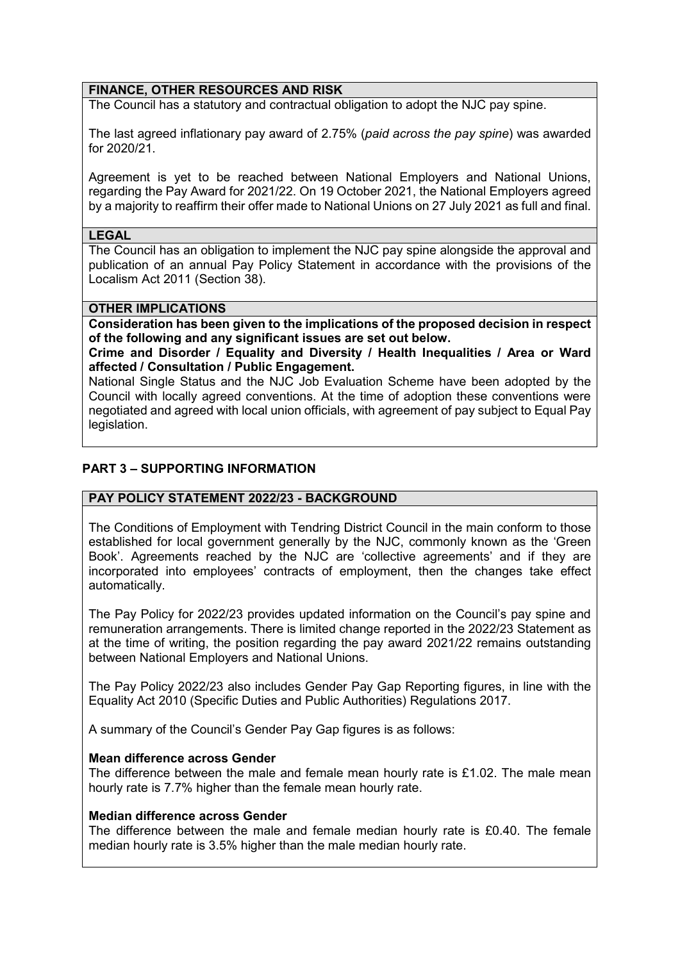### **FINANCE, OTHER RESOURCES AND RISK**

The Council has a statutory and contractual obligation to adopt the NJC pay spine.

The last agreed inflationary pay award of 2.75% (*paid across the pay spine*) was awarded for 2020/21.

Agreement is yet to be reached between National Employers and National Unions, regarding the Pay Award for 2021/22. On 19 October 2021, the National Employers agreed by a majority to reaffirm their offer made to National Unions on 27 July 2021 as full and final.

#### **LEGAL**

The Council has an obligation to implement the NJC pay spine alongside the approval and publication of an annual Pay Policy Statement in accordance with the provisions of the Localism Act 2011 (Section 38).

#### **OTHER IMPLICATIONS**

**Consideration has been given to the implications of the proposed decision in respect of the following and any significant issues are set out below.** 

**Crime and Disorder / Equality and Diversity / Health Inequalities / Area or Ward affected / Consultation / Public Engagement.** 

National Single Status and the NJC Job Evaluation Scheme have been adopted by the Council with locally agreed conventions. At the time of adoption these conventions were negotiated and agreed with local union officials, with agreement of pay subject to Equal Pay legislation.

### **PART 3 – SUPPORTING INFORMATION**

### **PAY POLICY STATEMENT 2022/23 - BACKGROUND**

The Conditions of Employment with Tendring District Council in the main conform to those established for local government generally by the NJC, commonly known as the 'Green Book'. Agreements reached by the NJC are 'collective agreements' and if they are incorporated into employees' contracts of employment, then the changes take effect automatically.

The Pay Policy for 2022/23 provides updated information on the Council's pay spine and remuneration arrangements. There is limited change reported in the 2022/23 Statement as at the time of writing, the position regarding the pay award 2021/22 remains outstanding between National Employers and National Unions.

The Pay Policy 2022/23 also includes Gender Pay Gap Reporting figures, in line with the Equality Act 2010 (Specific Duties and Public Authorities) Regulations 2017.

A summary of the Council's Gender Pay Gap figures is as follows:

### **Mean difference across Gender**

The difference between the male and female mean hourly rate is £1.02. The male mean hourly rate is 7.7% higher than the female mean hourly rate.

### **Median difference across Gender**

The difference between the male and female median hourly rate is £0.40. The female median hourly rate is 3.5% higher than the male median hourly rate.